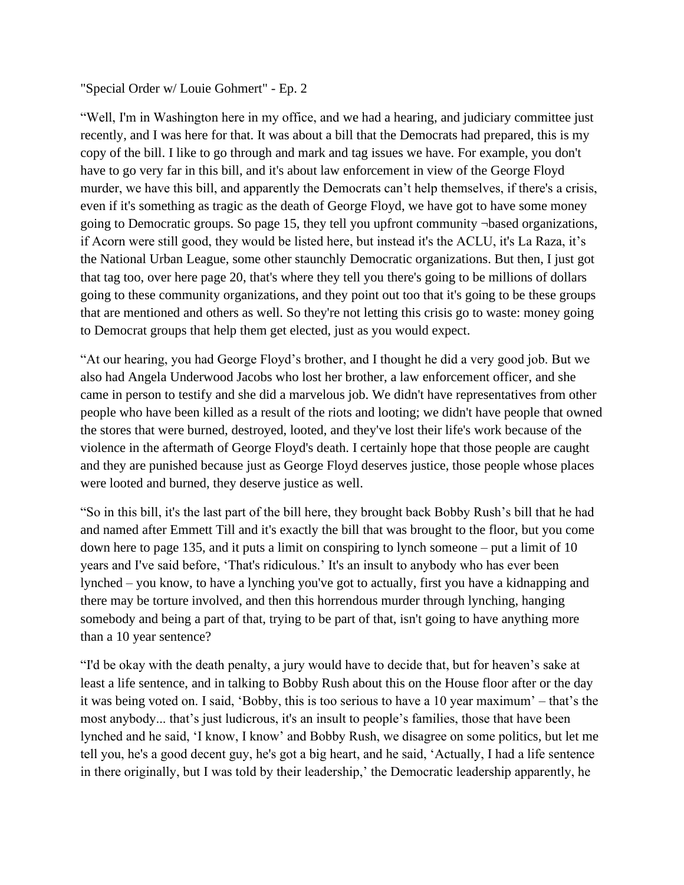## "Special Order w/ Louie Gohmert" - Ep. 2

"Well, I'm in Washington here in my office, and we had a hearing, and judiciary committee just recently, and I was here for that. It was about a bill that the Democrats had prepared, this is my copy of the bill. I like to go through and mark and tag issues we have. For example, you don't have to go very far in this bill, and it's about law enforcement in view of the George Floyd murder, we have this bill, and apparently the Democrats can't help themselves, if there's a crisis, even if it's something as tragic as the death of George Floyd, we have got to have some money going to Democratic groups. So page 15, they tell you upfront community ¬based organizations, if Acorn were still good, they would be listed here, but instead it's the ACLU, it's La Raza, it's the National Urban League, some other staunchly Democratic organizations. But then, I just got that tag too, over here page 20, that's where they tell you there's going to be millions of dollars going to these community organizations, and they point out too that it's going to be these groups that are mentioned and others as well. So they're not letting this crisis go to waste: money going to Democrat groups that help them get elected, just as you would expect.

"At our hearing, you had George Floyd's brother, and I thought he did a very good job. But we also had Angela Underwood Jacobs who lost her brother, a law enforcement officer, and she came in person to testify and she did a marvelous job. We didn't have representatives from other people who have been killed as a result of the riots and looting; we didn't have people that owned the stores that were burned, destroyed, looted, and they've lost their life's work because of the violence in the aftermath of George Floyd's death. I certainly hope that those people are caught and they are punished because just as George Floyd deserves justice, those people whose places were looted and burned, they deserve justice as well.

"So in this bill, it's the last part of the bill here, they brought back Bobby Rush's bill that he had and named after Emmett Till and it's exactly the bill that was brought to the floor, but you come down here to page 135, and it puts a limit on conspiring to lynch someone – put a limit of 10 years and I've said before, 'That's ridiculous.' It's an insult to anybody who has ever been lynched – you know, to have a lynching you've got to actually, first you have a kidnapping and there may be torture involved, and then this horrendous murder through lynching, hanging somebody and being a part of that, trying to be part of that, isn't going to have anything more than a 10 year sentence?

"I'd be okay with the death penalty, a jury would have to decide that, but for heaven's sake at least a life sentence, and in talking to Bobby Rush about this on the House floor after or the day it was being voted on. I said, 'Bobby, this is too serious to have a 10 year maximum' – that's the most anybody... that's just ludicrous, it's an insult to people's families, those that have been lynched and he said, 'I know, I know' and Bobby Rush, we disagree on some politics, but let me tell you, he's a good decent guy, he's got a big heart, and he said, 'Actually, I had a life sentence in there originally, but I was told by their leadership,' the Democratic leadership apparently, he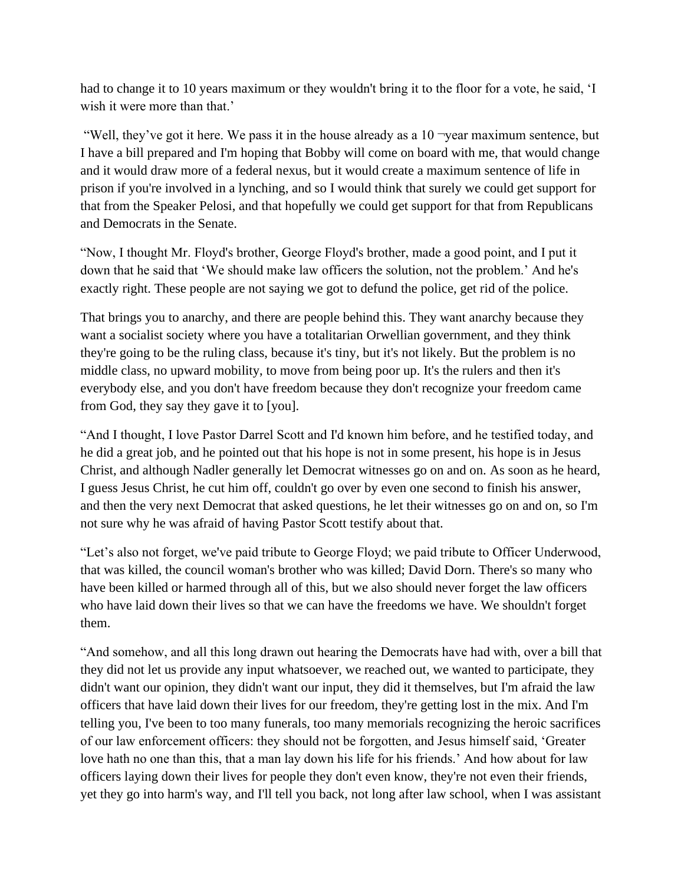had to change it to 10 years maximum or they wouldn't bring it to the floor for a vote, he said, 'I wish it were more than that.'

"Well, they've got it here. We pass it in the house already as a  $10$  -year maximum sentence, but I have a bill prepared and I'm hoping that Bobby will come on board with me, that would change and it would draw more of a federal nexus, but it would create a maximum sentence of life in prison if you're involved in a lynching, and so I would think that surely we could get support for that from the Speaker Pelosi, and that hopefully we could get support for that from Republicans and Democrats in the Senate.

"Now, I thought Mr. Floyd's brother, George Floyd's brother, made a good point, and I put it down that he said that 'We should make law officers the solution, not the problem.' And he's exactly right. These people are not saying we got to defund the police, get rid of the police.

That brings you to anarchy, and there are people behind this. They want anarchy because they want a socialist society where you have a totalitarian Orwellian government, and they think they're going to be the ruling class, because it's tiny, but it's not likely. But the problem is no middle class, no upward mobility, to move from being poor up. It's the rulers and then it's everybody else, and you don't have freedom because they don't recognize your freedom came from God, they say they gave it to [you].

"And I thought, I love Pastor Darrel Scott and I'd known him before, and he testified today, and he did a great job, and he pointed out that his hope is not in some present, his hope is in Jesus Christ, and although Nadler generally let Democrat witnesses go on and on. As soon as he heard, I guess Jesus Christ, he cut him off, couldn't go over by even one second to finish his answer, and then the very next Democrat that asked questions, he let their witnesses go on and on, so I'm not sure why he was afraid of having Pastor Scott testify about that.

"Let's also not forget, we've paid tribute to George Floyd; we paid tribute to Officer Underwood, that was killed, the council woman's brother who was killed; David Dorn. There's so many who have been killed or harmed through all of this, but we also should never forget the law officers who have laid down their lives so that we can have the freedoms we have. We shouldn't forget them.

"And somehow, and all this long drawn out hearing the Democrats have had with, over a bill that they did not let us provide any input whatsoever, we reached out, we wanted to participate, they didn't want our opinion, they didn't want our input, they did it themselves, but I'm afraid the law officers that have laid down their lives for our freedom, they're getting lost in the mix. And I'm telling you, I've been to too many funerals, too many memorials recognizing the heroic sacrifices of our law enforcement officers: they should not be forgotten, and Jesus himself said, 'Greater love hath no one than this, that a man lay down his life for his friends.' And how about for law officers laying down their lives for people they don't even know, they're not even their friends, yet they go into harm's way, and I'll tell you back, not long after law school, when I was assistant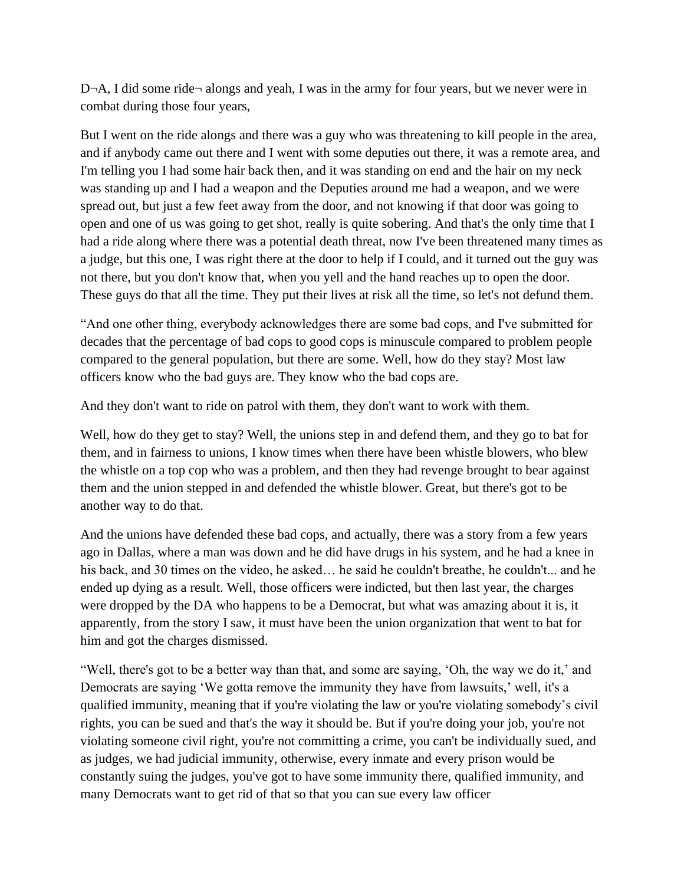D¬A, I did some ride¬ alongs and yeah, I was in the army for four years, but we never were in combat during those four years,

But I went on the ride alongs and there was a guy who was threatening to kill people in the area, and if anybody came out there and I went with some deputies out there, it was a remote area, and I'm telling you I had some hair back then, and it was standing on end and the hair on my neck was standing up and I had a weapon and the Deputies around me had a weapon, and we were spread out, but just a few feet away from the door, and not knowing if that door was going to open and one of us was going to get shot, really is quite sobering. And that's the only time that I had a ride along where there was a potential death threat, now I've been threatened many times as a judge, but this one, I was right there at the door to help if I could, and it turned out the guy was not there, but you don't know that, when you yell and the hand reaches up to open the door. These guys do that all the time. They put their lives at risk all the time, so let's not defund them.

"And one other thing, everybody acknowledges there are some bad cops, and I've submitted for decades that the percentage of bad cops to good cops is minuscule compared to problem people compared to the general population, but there are some. Well, how do they stay? Most law officers know who the bad guys are. They know who the bad cops are.

And they don't want to ride on patrol with them, they don't want to work with them.

Well, how do they get to stay? Well, the unions step in and defend them, and they go to bat for them, and in fairness to unions, I know times when there have been whistle blowers, who blew the whistle on a top cop who was a problem, and then they had revenge brought to bear against them and the union stepped in and defended the whistle blower. Great, but there's got to be another way to do that.

And the unions have defended these bad cops, and actually, there was a story from a few years ago in Dallas, where a man was down and he did have drugs in his system, and he had a knee in his back, and 30 times on the video, he asked... he said he couldn't breathe, he couldn't... and he ended up dying as a result. Well, those officers were indicted, but then last year, the charges were dropped by the DA who happens to be a Democrat, but what was amazing about it is, it apparently, from the story I saw, it must have been the union organization that went to bat for him and got the charges dismissed.

"Well, there's got to be a better way than that, and some are saying, 'Oh, the way we do it,' and Democrats are saying 'We gotta remove the immunity they have from lawsuits,' well, it's a qualified immunity, meaning that if you're violating the law or you're violating somebody's civil rights, you can be sued and that's the way it should be. But if you're doing your job, you're not violating someone civil right, you're not committing a crime, you can't be individually sued, and as judges, we had judicial immunity, otherwise, every inmate and every prison would be constantly suing the judges, you've got to have some immunity there, qualified immunity, and many Democrats want to get rid of that so that you can sue every law officer